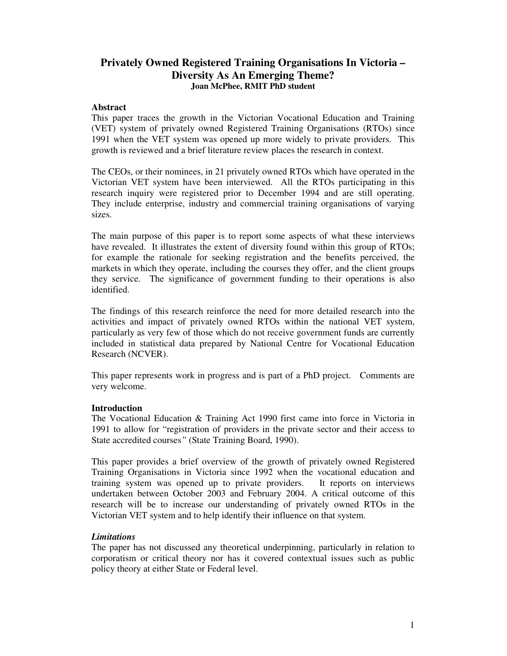# **Privately Owned Registered Training Organisations In Victoria – Diversity As An Emerging Theme? Joan McPhee, RMIT PhD student**

#### **Abstract**

This paper traces the growth in the Victorian Vocational Education and Training (VET) system of privately owned Registered Training Organisations (RTOs) since 1991 when the VET system was opened up more widely to private providers. This growth is reviewed and a brief literature review places the research in context.

The CEOs, or their nominees, in 21 privately owned RTOs which have operated in the Victorian VET system have been interviewed. All the RTOs participating in this research inquiry were registered prior to December 1994 and are still operating. They include enterprise, industry and commercial training organisations of varying sizes.

The main purpose of this paper is to report some aspects of what these interviews have revealed. It illustrates the extent of diversity found within this group of RTOs; for example the rationale for seeking registration and the benefits perceived, the markets in which they operate, including the courses they offer, and the client groups they service. The significance of government funding to their operations is also identified.

The findings of this research reinforce the need for more detailed research into the activities and impact of privately owned RTOs within the national VET system, particularly as very few of those which do not receive government funds are currently included in statistical data prepared by National Centre for Vocational Education Research (NCVER).

This paper represents work in progress and is part of a PhD project. Comments are very welcome.

### **Introduction**

The Vocational Education & Training Act 1990 first came into force in Victoria in 1991 to allow for "registration of providers in the private sector and their access to State accredited courses*"* (State Training Board, 1990).

This paper provides a brief overview of the growth of privately owned Registered Training Organisations in Victoria since 1992 when the vocational education and training system was opened up to private providers. It reports on interviews undertaken between October 2003 and February 2004. A critical outcome of this research will be to increase our understanding of privately owned RTOs in the Victorian VET system and to help identify their influence on that system.

### *Limitations*

The paper has not discussed any theoretical underpinning, particularly in relation to corporatism or critical theory nor has it covered contextual issues such as public policy theory at either State or Federal level.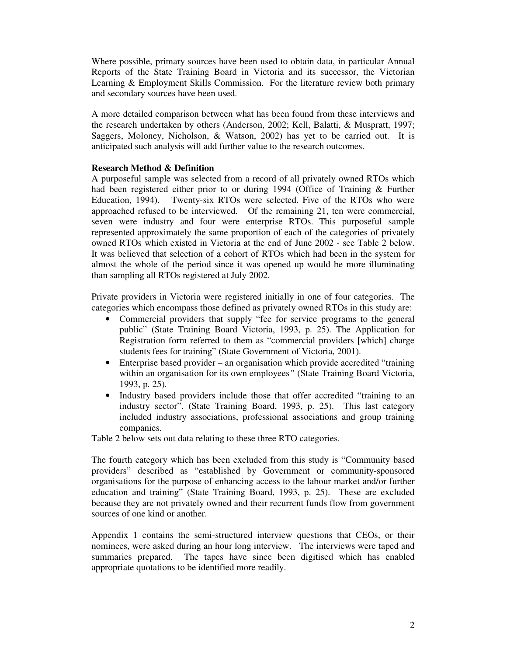Where possible, primary sources have been used to obtain data, in particular Annual Reports of the State Training Board in Victoria and its successor, the Victorian Learning & Employment Skills Commission. For the literature review both primary and secondary sources have been used.

A more detailed comparison between what has been found from these interviews and the research undertaken by others (Anderson, 2002; Kell, Balatti, & Muspratt, 1997; Saggers, Moloney, Nicholson, & Watson, 2002) has yet to be carried out. It is anticipated such analysis will add further value to the research outcomes.

# **Research Method & Definition**

A purposeful sample was selected from a record of all privately owned RTOs which had been registered either prior to or during 1994 (Office of Training & Further Education, 1994). Twenty-six RTOs were selected. Five of the RTOs who were approached refused to be interviewed. Of the remaining 21, ten were commercial, seven were industry and four were enterprise RTOs. This purposeful sample represented approximately the same proportion of each of the categories of privately owned RTOs which existed in Victoria at the end of June 2002 - see Table 2 below. It was believed that selection of a cohort of RTOs which had been in the system for almost the whole of the period since it was opened up would be more illuminating than sampling all RTOs registered at July 2002.

Private providers in Victoria were registered initially in one of four categories. The categories which encompass those defined as privately owned RTOs in this study are:

- Commercial providers that supply "fee for service programs to the general public" (State Training Board Victoria, 1993, p. 25). The Application for Registration form referred to them as "commercial providers [which] charge students fees for training" (State Government of Victoria, 2001).
- Enterprise based provider an organisation which provide accredited "training" within an organisation for its own employees*"* (State Training Board Victoria, 1993, p. 25).
- Industry based providers include those that offer accredited "training to an industry sector". (State Training Board, 1993, p. 25). This last category included industry associations, professional associations and group training companies.

Table 2 below sets out data relating to these three RTO categories.

The fourth category which has been excluded from this study is "Community based providers" described as "established by Government or community-sponsored organisations for the purpose of enhancing access to the labour market and/or further education and training" (State Training Board, 1993, p. 25). These are excluded because they are not privately owned and their recurrent funds flow from government sources of one kind or another.

Appendix 1 contains the semi-structured interview questions that CEOs, or their nominees, were asked during an hour long interview. The interviews were taped and summaries prepared. The tapes have since been digitised which has enabled appropriate quotations to be identified more readily.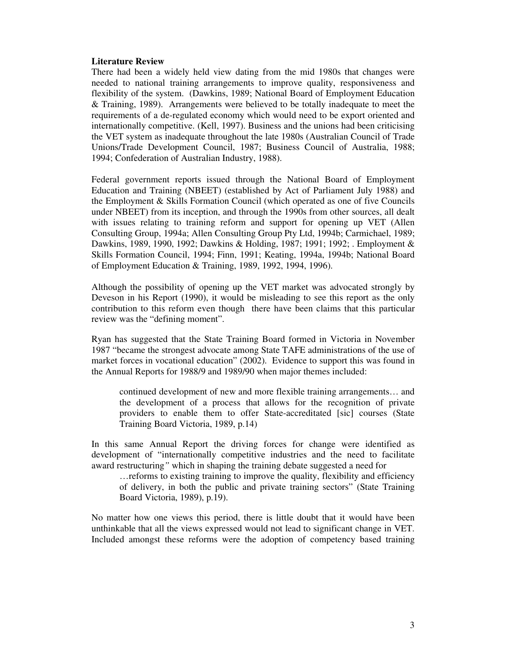### **Literature Review**

There had been a widely held view dating from the mid 1980s that changes were needed to national training arrangements to improve quality, responsiveness and flexibility of the system. (Dawkins, 1989; National Board of Employment Education & Training, 1989). Arrangements were believed to be totally inadequate to meet the requirements of a de-regulated economy which would need to be export oriented and internationally competitive. (Kell, 1997). Business and the unions had been criticising the VET system as inadequate throughout the late 1980s (Australian Council of Trade Unions/Trade Development Council, 1987; Business Council of Australia, 1988; 1994; Confederation of Australian Industry, 1988).

Federal government reports issued through the National Board of Employment Education and Training (NBEET) (established by Act of Parliament July 1988) and the Employment & Skills Formation Council (which operated as one of five Councils under NBEET) from its inception, and through the 1990s from other sources, all dealt with issues relating to training reform and support for opening up VET (Allen Consulting Group, 1994a; Allen Consulting Group Pty Ltd, 1994b; Carmichael, 1989; Dawkins, 1989, 1990, 1992; Dawkins & Holding, 1987; 1991; 1992; . Employment & Skills Formation Council, 1994; Finn, 1991; Keating, 1994a, 1994b; National Board of Employment Education & Training, 1989, 1992, 1994, 1996).

Although the possibility of opening up the VET market was advocated strongly by Deveson in his Report (1990), it would be misleading to see this report as the only contribution to this reform even though there have been claims that this particular review was the "defining moment".

Ryan has suggested that the State Training Board formed in Victoria in November 1987 "became the strongest advocate among State TAFE administrations of the use of market forces in vocational education" (2002). Evidence to support this was found in the Annual Reports for 1988/9 and 1989/90 when major themes included:

continued development of new and more flexible training arrangements… and the development of a process that allows for the recognition of private providers to enable them to offer State-accreditated [sic] courses (State Training Board Victoria, 1989, p.14)

In this same Annual Report the driving forces for change were identified as development of "internationally competitive industries and the need to facilitate award restructuring*"* which in shaping the training debate suggested a need for

…reforms to existing training to improve the quality, flexibility and efficiency of delivery, in both the public and private training sectors" (State Training Board Victoria, 1989), p.19).

No matter how one views this period, there is little doubt that it would have been unthinkable that all the views expressed would not lead to significant change in VET. Included amongst these reforms were the adoption of competency based training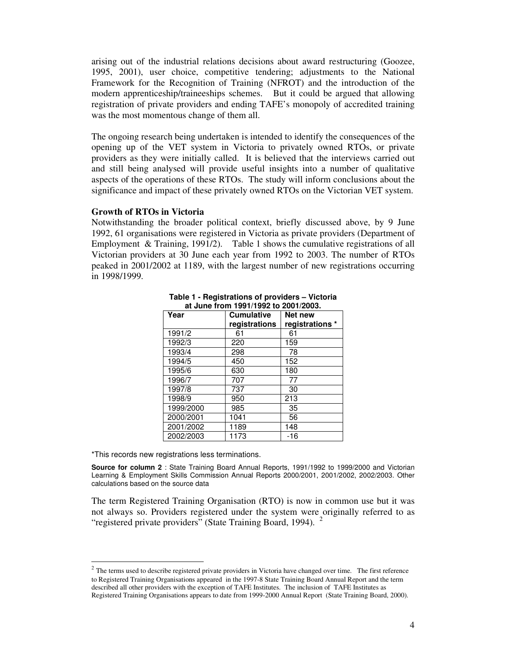arising out of the industrial relations decisions about award restructuring (Goozee, 1995, 2001), user choice, competitive tendering; adjustments to the National Framework for the Recognition of Training (NFROT) and the introduction of the modern apprenticeship/traineeships schemes. But it could be argued that allowing registration of private providers and ending TAFE's monopoly of accredited training was the most momentous change of them all.

The ongoing research being undertaken is intended to identify the consequences of the opening up of the VET system in Victoria to privately owned RTOs, or private providers as they were initially called. It is believed that the interviews carried out and still being analysed will provide useful insights into a number of qualitative aspects of the operations of these RTOs. The study will inform conclusions about the significance and impact of these privately owned RTOs on the Victorian VET system.

#### **Growth of RTOs in Victoria**

Notwithstanding the broader political context, briefly discussed above, by 9 June 1992, 61 organisations were registered in Victoria as private providers (Department of Employment & Training, 1991/2). Table 1 shows the cumulative registrations of all Victorian providers at 30 June each year from 1992 to 2003. The number of RTOs peaked in 2001/2002 at 1189, with the largest number of new registrations occurring in 1998/1999.

| at oung noni 1991/1992 to 2001/2009. |                   |                 |  |  |
|--------------------------------------|-------------------|-----------------|--|--|
| Year                                 | <b>Cumulative</b> | Net new         |  |  |
|                                      | registrations     | registrations * |  |  |
| 1991/2                               | 61                | 61              |  |  |
| 1992/3                               | 220               | 159             |  |  |
| 1993/4                               | 298               | 78              |  |  |
| 1994/5                               | 450               | 152             |  |  |
| 1995/6                               | 630               | 180             |  |  |
| 1996/7                               | 707               | 77              |  |  |
| 1997/8                               | 737               | 30              |  |  |
| 1998/9                               | 950               | 213             |  |  |
| 1999/2000                            | 985               | 35              |  |  |
| 2000/2001                            | 1041              | 56              |  |  |
| 2001/2002                            | 1189              | 148             |  |  |
| 2002/2003                            | 1173              | -16             |  |  |

**Table 1 - Registrations of providers – Victoria at June from 1991/1992 to 2001/2003.**

\*This records new registrations less terminations.

**Source for column 2** : State Training Board Annual Reports, 1991/1992 to 1999/2000 and Victorian Learning & Employment Skills Commission Annual Reports 2000/2001, 2001/2002, 2002/2003. Other calculations based on the source data

The term Registered Training Organisation (RTO) is now in common use but it was not always so. Providers registered under the system were originally referred to as "registered private providers" (State Training Board, 1994).<sup>2</sup>

 $2$  The terms used to describe registered private providers in Victoria have changed over time. The first reference to Registered Training Organisations appeared in the 1997-8 State Training Board Annual Report and the term described all other providers with the exception of TAFE Institutes. The inclusion of TAFE Institutes as Registered Training Organisations appears to date from 1999-2000 Annual Report (State Training Board, 2000).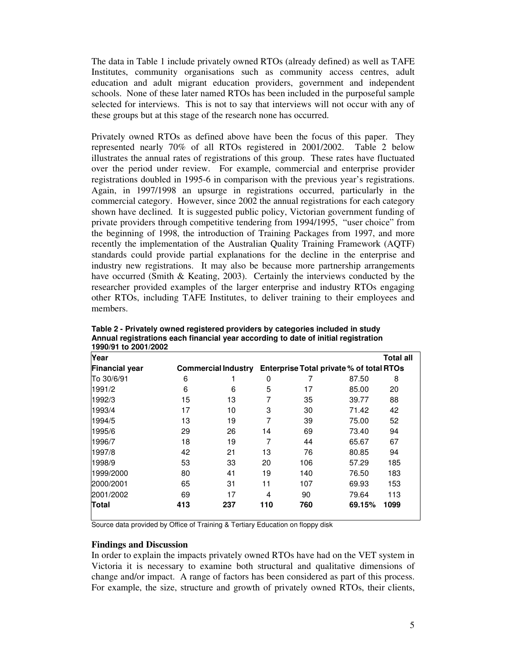The data in Table 1 include privately owned RTOs (already defined) as well as TAFE Institutes, community organisations such as community access centres, adult education and adult migrant education providers, government and independent schools. None of these later named RTOs has been included in the purposeful sample selected for interviews. This is not to say that interviews will not occur with any of these groups but at this stage of the research none has occurred.

Privately owned RTOs as defined above have been the focus of this paper. They represented nearly 70% of all RTOs registered in 2001/2002. Table 2 below illustrates the annual rates of registrations of this group. These rates have fluctuated over the period under review. For example, commercial and enterprise provider registrations doubled in 1995-6 in comparison with the previous year's registrations. Again, in 1997/1998 an upsurge in registrations occurred, particularly in the commercial category. However, since 2002 the annual registrations for each category shown have declined. It is suggested public policy, Victorian government funding of private providers through competitive tendering from 1994/1995, "user choice" from the beginning of 1998, the introduction of Training Packages from 1997, and more recently the implementation of the Australian Quality Training Framework (AQTF) standards could provide partial explanations for the decline in the enterprise and industry new registrations. It may also be because more partnership arrangements have occurred (Smith & Keating, 2003). Certainly the interviews conducted by the researcher provided examples of the larger enterprise and industry RTOs engaging other RTOs, including TAFE Institutes, to deliver training to their employees and members.

| 1990/91 to 2001/2002  |     |                            |     |     |                                          |                  |
|-----------------------|-----|----------------------------|-----|-----|------------------------------------------|------------------|
| Year                  |     |                            |     |     |                                          | <b>Total all</b> |
| <b>Financial year</b> |     | <b>Commercial Industry</b> |     |     | Enterprise Total private % of total RTOs |                  |
| To 30/6/91            | 6   |                            | 0   |     | 87.50                                    | 8                |
| 1991/2                | 6   | 6                          | 5   | 17  | 85.00                                    | 20               |
| 1992/3                | 15  | 13                         | 7   | 35  | 39.77                                    | 88               |
| 1993/4                | 17  | 10                         | 3   | 30  | 71.42                                    | 42               |
| 1994/5                | 13  | 19                         | 7   | 39  | 75.00                                    | 52               |
| 1995/6                | 29  | 26                         | 14  | 69  | 73.40                                    | 94               |
| 1996/7                | 18  | 19                         | 7   | 44  | 65.67                                    | 67               |
| 1997/8                | 42  | 21                         | 13  | 76  | 80.85                                    | 94               |
| 1998/9                | 53  | 33                         | 20  | 106 | 57.29                                    | 185              |
| 1999/2000             | 80  | 41                         | 19  | 140 | 76.50                                    | 183              |
| 2000/2001             | 65  | 31                         | 11  | 107 | 69.93                                    | 153              |
| 2001/2002             | 69  | 17                         | 4   | 90  | 79.64                                    | 113              |
| Total                 | 413 | 237                        | 110 | 760 | 69.15%                                   | 1099             |

**Table 2 - Privately owned registered providers by categories included in study Annual registrations each financial year according to date of initial registration 1990/91 to 2001/2002**

Source data provided by Office of Training & Tertiary Education on floppy disk

### **Findings and Discussion**

In order to explain the impacts privately owned RTOs have had on the VET system in Victoria it is necessary to examine both structural and qualitative dimensions of change and/or impact. A range of factors has been considered as part of this process. For example, the size, structure and growth of privately owned RTOs, their clients,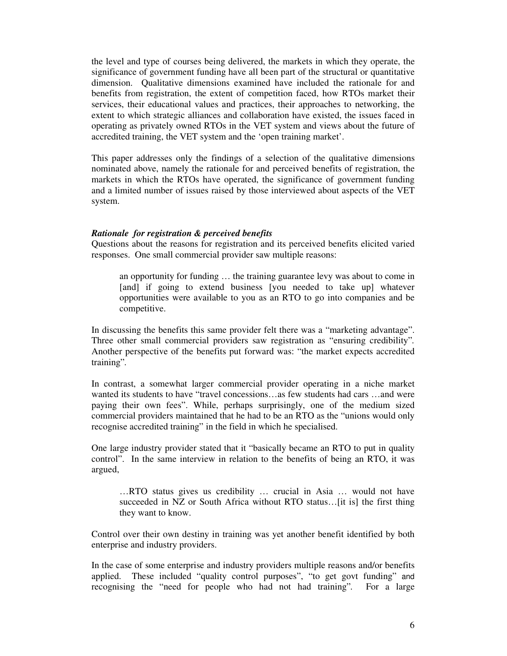the level and type of courses being delivered, the markets in which they operate, the significance of government funding have all been part of the structural or quantitative dimension. Qualitative dimensions examined have included the rationale for and benefits from registration, the extent of competition faced, how RTOs market their services, their educational values and practices, their approaches to networking, the extent to which strategic alliances and collaboration have existed, the issues faced in operating as privately owned RTOs in the VET system and views about the future of accredited training, the VET system and the 'open training market'.

This paper addresses only the findings of a selection of the qualitative dimensions nominated above, namely the rationale for and perceived benefits of registration, the markets in which the RTOs have operated, the significance of government funding and a limited number of issues raised by those interviewed about aspects of the VET system.

### *Rationale for registration & perceived benefits*

Questions about the reasons for registration and its perceived benefits elicited varied responses. One small commercial provider saw multiple reasons:

an opportunity for funding … the training guarantee levy was about to come in [and] if going to extend business [you needed to take up] whatever opportunities were available to you as an RTO to go into companies and be competitive.

In discussing the benefits this same provider felt there was a "marketing advantage". Three other small commercial providers saw registration as "ensuring credibility"*.* Another perspective of the benefits put forward was: "the market expects accredited training"*.*

In contrast, a somewhat larger commercial provider operating in a niche market wanted its students to have "travel concessions…as few students had cars …and were paying their own fees". While, perhaps surprisingly, one of the medium sized commercial providers maintained that he had to be an RTO as the "unions would only recognise accredited training" in the field in which he specialised.

One large industry provider stated that it "basically became an RTO to put in quality control". In the same interview in relation to the benefits of being an RTO, it was argued,

…RTO status gives us credibility … crucial in Asia … would not have succeeded in NZ or South Africa without RTO status...[it is] the first thing they want to know.

Control over their own destiny in training was yet another benefit identified by both enterprise and industry providers.

In the case of some enterprise and industry providers multiple reasons and/or benefits applied. These included "quality control purposes", "to get govt funding" and recognising the "need for people who had not had training"*.* For a large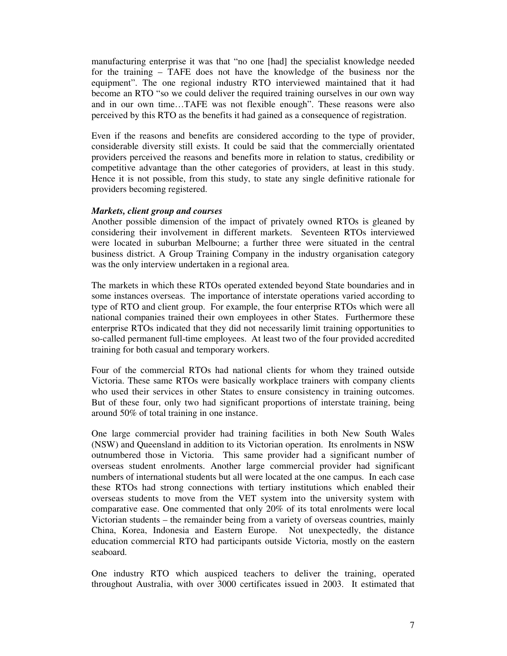manufacturing enterprise it was that "no one [had] the specialist knowledge needed for the training – TAFE does not have the knowledge of the business nor the equipment". The one regional industry RTO interviewed maintained that it had become an RTO "so we could deliver the required training ourselves in our own way and in our own time…TAFE was not flexible enough". These reasons were also perceived by this RTO as the benefits it had gained as a consequence of registration.

Even if the reasons and benefits are considered according to the type of provider, considerable diversity still exists. It could be said that the commercially orientated providers perceived the reasons and benefits more in relation to status, credibility or competitive advantage than the other categories of providers, at least in this study. Hence it is not possible, from this study, to state any single definitive rationale for providers becoming registered.

### *Markets, client group and courses*

Another possible dimension of the impact of privately owned RTOs is gleaned by considering their involvement in different markets. Seventeen RTOs interviewed were located in suburban Melbourne; a further three were situated in the central business district. A Group Training Company in the industry organisation category was the only interview undertaken in a regional area.

The markets in which these RTOs operated extended beyond State boundaries and in some instances overseas. The importance of interstate operations varied according to type of RTO and client group. For example, the four enterprise RTOs which were all national companies trained their own employees in other States. Furthermore these enterprise RTOs indicated that they did not necessarily limit training opportunities to so-called permanent full-time employees. At least two of the four provided accredited training for both casual and temporary workers.

Four of the commercial RTOs had national clients for whom they trained outside Victoria. These same RTOs were basically workplace trainers with company clients who used their services in other States to ensure consistency in training outcomes. But of these four, only two had significant proportions of interstate training, being around 50% of total training in one instance.

One large commercial provider had training facilities in both New South Wales (NSW) and Queensland in addition to its Victorian operation. Its enrolments in NSW outnumbered those in Victoria. This same provider had a significant number of overseas student enrolments. Another large commercial provider had significant numbers of international students but all were located at the one campus. In each case these RTOs had strong connections with tertiary institutions which enabled their overseas students to move from the VET system into the university system with comparative ease. One commented that only 20% of its total enrolments were local Victorian students – the remainder being from a variety of overseas countries, mainly China, Korea, Indonesia and Eastern Europe. Not unexpectedly, the distance education commercial RTO had participants outside Victoria, mostly on the eastern seaboard.

One industry RTO which auspiced teachers to deliver the training, operated throughout Australia, with over 3000 certificates issued in 2003. It estimated that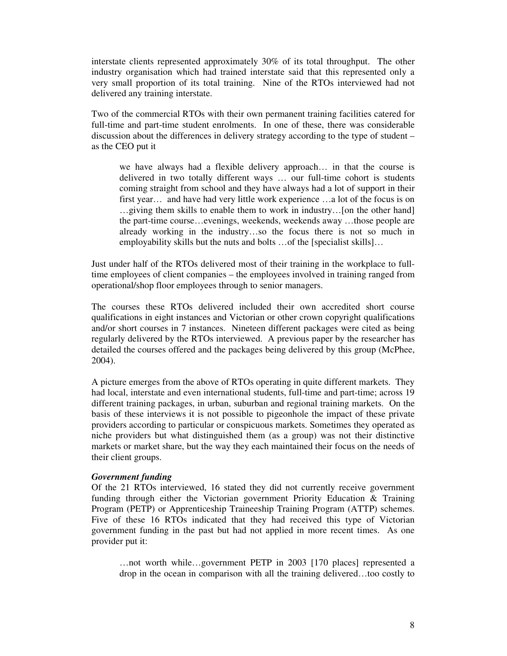interstate clients represented approximately 30% of its total throughput. The other industry organisation which had trained interstate said that this represented only a very small proportion of its total training. Nine of the RTOs interviewed had not delivered any training interstate.

Two of the commercial RTOs with their own permanent training facilities catered for full-time and part-time student enrolments. In one of these, there was considerable discussion about the differences in delivery strategy according to the type of student – as the CEO put it

we have always had a flexible delivery approach… in that the course is delivered in two totally different ways … our full-time cohort is students coming straight from school and they have always had a lot of support in their first year… and have had very little work experience …a lot of the focus is on …giving them skills to enable them to work in industry…[on the other hand] the part-time course…evenings, weekends, weekends away …those people are already working in the industry…so the focus there is not so much in employability skills but the nuts and bolts …of the [specialist skills]…

Just under half of the RTOs delivered most of their training in the workplace to fulltime employees of client companies – the employees involved in training ranged from operational/shop floor employees through to senior managers.

The courses these RTOs delivered included their own accredited short course qualifications in eight instances and Victorian or other crown copyright qualifications and/or short courses in 7 instances. Nineteen different packages were cited as being regularly delivered by the RTOs interviewed. A previous paper by the researcher has detailed the courses offered and the packages being delivered by this group (McPhee, 2004).

A picture emerges from the above of RTOs operating in quite different markets. They had local, interstate and even international students, full-time and part-time; across 19 different training packages, in urban, suburban and regional training markets. On the basis of these interviews it is not possible to pigeonhole the impact of these private providers according to particular or conspicuous markets. Sometimes they operated as niche providers but what distinguished them (as a group) was not their distinctive markets or market share, but the way they each maintained their focus on the needs of their client groups.

### *Government funding*

Of the 21 RTOs interviewed, 16 stated they did not currently receive government funding through either the Victorian government Priority Education & Training Program (PETP) or Apprenticeship Traineeship Training Program (ATTP) schemes. Five of these 16 RTOs indicated that they had received this type of Victorian government funding in the past but had not applied in more recent times. As one provider put it:

…not worth while…government PETP in 2003 [170 places] represented a drop in the ocean in comparison with all the training delivered…too costly to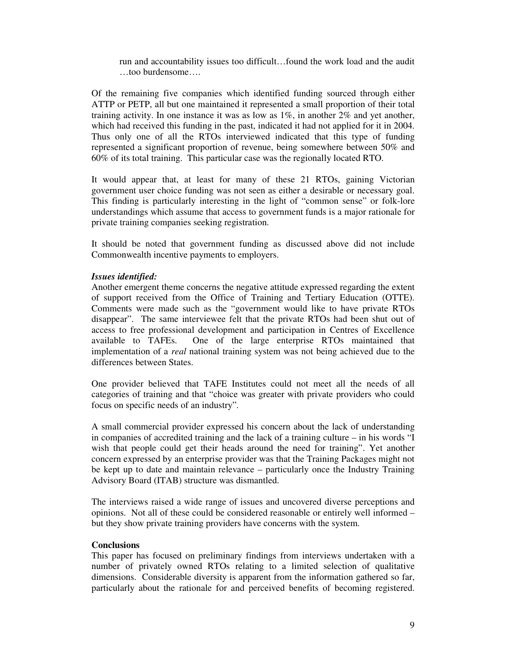run and accountability issues too difficult…found the work load and the audit …too burdensome….

Of the remaining five companies which identified funding sourced through either ATTP or PETP, all but one maintained it represented a small proportion of their total training activity. In one instance it was as low as  $1\%$ , in another  $2\%$  and yet another, which had received this funding in the past, indicated it had not applied for it in 2004. Thus only one of all the RTOs interviewed indicated that this type of funding represented a significant proportion of revenue, being somewhere between 50% and 60% of its total training. This particular case was the regionally located RTO.

It would appear that, at least for many of these 21 RTOs, gaining Victorian government user choice funding was not seen as either a desirable or necessary goal. This finding is particularly interesting in the light of "common sense" or folk-lore understandings which assume that access to government funds is a major rationale for private training companies seeking registration.

It should be noted that government funding as discussed above did not include Commonwealth incentive payments to employers.

### *Issues identified:*

Another emergent theme concerns the negative attitude expressed regarding the extent of support received from the Office of Training and Tertiary Education (OTTE). Comments were made such as the "government would like to have private RTOs disappear". The same interviewee felt that the private RTOs had been shut out of access to free professional development and participation in Centres of Excellence available to TAFEs. One of the large enterprise RTOs maintained that implementation of a *real* national training system was not being achieved due to the differences between States.

One provider believed that TAFE Institutes could not meet all the needs of all categories of training and that "choice was greater with private providers who could focus on specific needs of an industry"*.*

A small commercial provider expressed his concern about the lack of understanding in companies of accredited training and the lack of a training culture – in his words "I wish that people could get their heads around the need for training". Yet another concern expressed by an enterprise provider was that the Training Packages might not be kept up to date and maintain relevance – particularly once the Industry Training Advisory Board (ITAB) structure was dismantled.

The interviews raised a wide range of issues and uncovered diverse perceptions and opinions. Not all of these could be considered reasonable or entirely well informed – but they show private training providers have concerns with the system.

### **Conclusions**

This paper has focused on preliminary findings from interviews undertaken with a number of privately owned RTOs relating to a limited selection of qualitative dimensions. Considerable diversity is apparent from the information gathered so far, particularly about the rationale for and perceived benefits of becoming registered.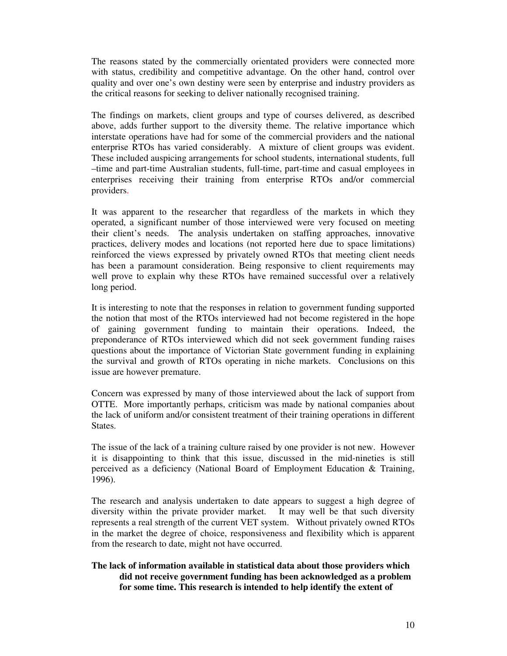The reasons stated by the commercially orientated providers were connected more with status, credibility and competitive advantage. On the other hand, control over quality and over one's own destiny were seen by enterprise and industry providers as the critical reasons for seeking to deliver nationally recognised training.

The findings on markets, client groups and type of courses delivered, as described above, adds further support to the diversity theme. The relative importance which interstate operations have had for some of the commercial providers and the national enterprise RTOs has varied considerably. A mixture of client groups was evident. These included auspicing arrangements for school students, international students, full –time and part-time Australian students, full-time, part-time and casual employees in enterprises receiving their training from enterprise RTOs and/or commercial providers.

It was apparent to the researcher that regardless of the markets in which they operated, a significant number of those interviewed were very focused on meeting their client's needs. The analysis undertaken on staffing approaches, innovative practices, delivery modes and locations (not reported here due to space limitations) reinforced the views expressed by privately owned RTOs that meeting client needs has been a paramount consideration. Being responsive to client requirements may well prove to explain why these RTOs have remained successful over a relatively long period.

It is interesting to note that the responses in relation to government funding supported the notion that most of the RTOs interviewed had not become registered in the hope of gaining government funding to maintain their operations. Indeed, the preponderance of RTOs interviewed which did not seek government funding raises questions about the importance of Victorian State government funding in explaining the survival and growth of RTOs operating in niche markets. Conclusions on this issue are however premature.

Concern was expressed by many of those interviewed about the lack of support from OTTE. More importantly perhaps, criticism was made by national companies about the lack of uniform and/or consistent treatment of their training operations in different States.

The issue of the lack of a training culture raised by one provider is not new. However it is disappointing to think that this issue, discussed in the mid-nineties is still perceived as a deficiency (National Board of Employment Education & Training, 1996).

The research and analysis undertaken to date appears to suggest a high degree of diversity within the private provider market. It may well be that such diversity represents a real strength of the current VET system. Without privately owned RTOs in the market the degree of choice, responsiveness and flexibility which is apparent from the research to date, might not have occurred.

# **The lack of information available in statistical data about those providers which did not receive government funding has been acknowledged as a problem for some time. This research is intended to help identify the extent of**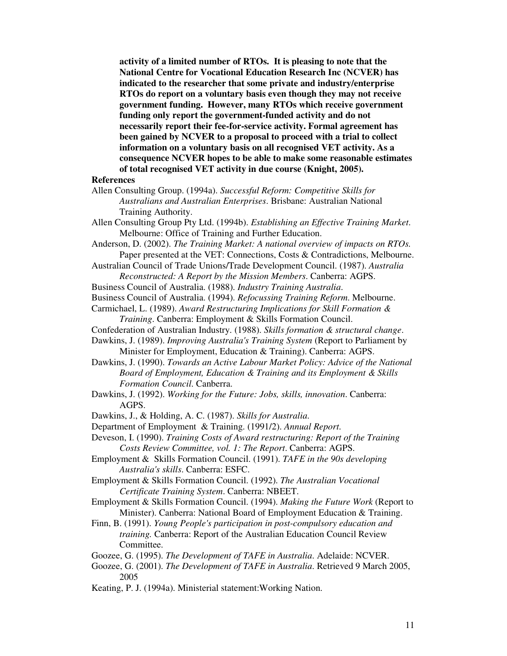**activity of a limited number of RTOs. It is pleasing to note that the National Centre for Vocational Education Research Inc (NCVER) has indicated to the researcher that some private and industry/enterprise RTOs do report on a voluntary basis even though they may not receive government funding. However, many RTOs which receive government funding only report the government-funded activity and do not necessarily report their fee-for-service activity. Formal agreement has been gained by NCVER to a proposal to proceed with a trial to collect information on a voluntary basis on all recognised VET activity. As a consequence NCVER hopes to be able to make some reasonable estimates of total recognised VET activity in due course (Knight, 2005).**

### **References**

- Allen Consulting Group. (1994a). *Successful Reform: Competitive Skills for Australians and Australian Enterprises*. Brisbane: Australian National Training Authority.
- Allen Consulting Group Pty Ltd. (1994b). *Establishing an Effective Training Market*. Melbourne: Office of Training and Further Education.
- Anderson, D. (2002). *The Training Market: A national overview of impacts on RTOs.* Paper presented at the VET: Connections, Costs & Contradictions, Melbourne.
- Australian Council of Trade Unions/Trade Development Council. (1987). *Australia Reconstructed: A Report by the Mission Members*. Canberra: AGPS.
- Business Council of Australia. (1988). *Industry Training Australia*.
- Business Council of Australia. (1994). *Refocussing Training Reform*. Melbourne.
- Carmichael, L. (1989). *Award Restructuring Implications for Skill Formation & Training*. Canberra: Employment & Skills Formation Council.
- Confederation of Australian Industry. (1988). *Skills formation & structural change*.
- Dawkins, J. (1989). *Improving Australia's Training System* (Report to Parliament by Minister for Employment, Education & Training). Canberra: AGPS.
- Dawkins, J. (1990). *Towards an Active Labour Market Policy: Advice of the National Board of Employment, Education & Training and its Employment & Skills Formation Council*. Canberra.
- Dawkins, J. (1992). *Working for the Future: Jobs, skills, innovation*. Canberra: AGPS.
- Dawkins, J., & Holding, A. C. (1987). *Skills for Australia*.
- Department of Employment & Training. (1991/2). *Annual Report*.
- Deveson, I. (1990). *Training Costs of Award restructuring: Report of the Training Costs Review Committee, vol. 1: The Report*. Canberra: AGPS.
- Employment & Skills Formation Council. (1991). *TAFE in the 90s developing Australia's skills*. Canberra: ESFC.
- Employment & Skills Formation Council. (1992). *The Australian Vocational Certificate Training System*. Canberra: NBEET.
- Employment & Skills Formation Council. (1994). *Making the Future Work* (Report to Minister). Canberra: National Board of Employment Education & Training.
- Finn, B. (1991). *Young People's participation in post-compulsory education and training.* Canberra: Report of the Australian Education Council Review Committee.
- Goozee, G. (1995). *The Development of TAFE in Australia*. Adelaide: NCVER.
- Goozee, G. (2001). *The Development of TAFE in Australia*. Retrieved 9 March 2005, 2005
- Keating, P. J. (1994a). Ministerial statement:Working Nation.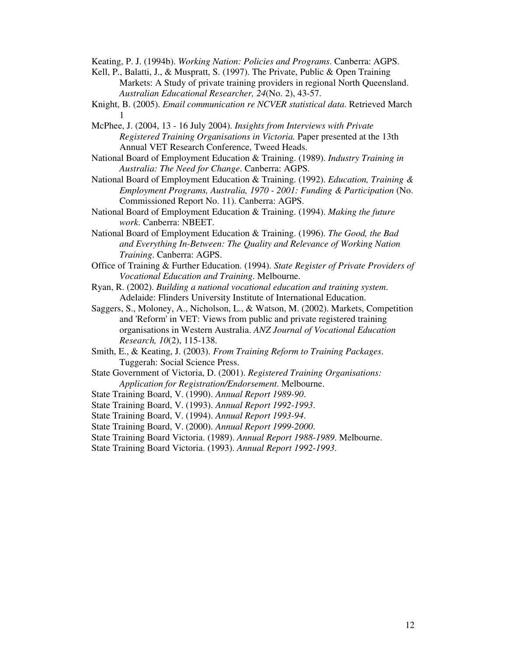Keating, P. J. (1994b). *Working Nation: Policies and Programs*. Canberra: AGPS.

- Kell, P., Balatti, J., & Muspratt, S. (1997). The Private, Public & Open Training Markets: A Study of private training providers in regional North Queensland. *Australian Educational Researcher, 24*(No. 2), 43-57.
- Knight, B. (2005). *Email communication re NCVER statistical data*. Retrieved March 1
- McPhee, J. (2004, 13 16 July 2004). *Insights from Interviews with Private Registered Training Organisations in Victoria.* Paper presented at the 13th Annual VET Research Conference, Tweed Heads.
- National Board of Employment Education & Training. (1989). *Industry Training in Australia: The Need for Change*. Canberra: AGPS.
- National Board of Employment Education & Training. (1992). *Education, Training & Employment Programs, Australia, 1970 - 2001: Funding & Participation* (No. Commissioned Report No. 11). Canberra: AGPS.
- National Board of Employment Education & Training. (1994). *Making the future work*. Canberra: NBEET.
- National Board of Employment Education & Training. (1996). *The Good, the Bad and Everything In-Between: The Quality and Relevance of Working Nation Training*. Canberra: AGPS.
- Office of Training & Further Education. (1994). *State Register of Private Providers of Vocational Education and Training*. Melbourne.
- Ryan, R. (2002). *Building a national vocational education and training system*. Adelaide: Flinders University Institute of International Education.
- Saggers, S., Moloney, A., Nicholson, L., & Watson, M. (2002). Markets, Competition and 'Reform'in VET: Views from public and private registered training organisations in Western Australia. *ANZ Journal of Vocational Education Research, 10*(2), 115-138.
- Smith, E., & Keating, J. (2003). *From Training Reform to Training Packages*. Tuggerah: Social Science Press.
- State Government of Victoria, D. (2001). *Registered Training Organisations: Application for Registration/Endorsement*. Melbourne.
- State Training Board, V. (1990). *Annual Report 1989-90*.
- State Training Board, V. (1993). *Annual Report 1992-1993*.
- State Training Board, V. (1994). *Annual Report 1993-94*.
- State Training Board, V. (2000). *Annual Report 1999-2000*.
- State Training Board Victoria. (1989). *Annual Report 1988-1989*. Melbourne.
- State Training Board Victoria. (1993). *Annual Report 1992-1993*.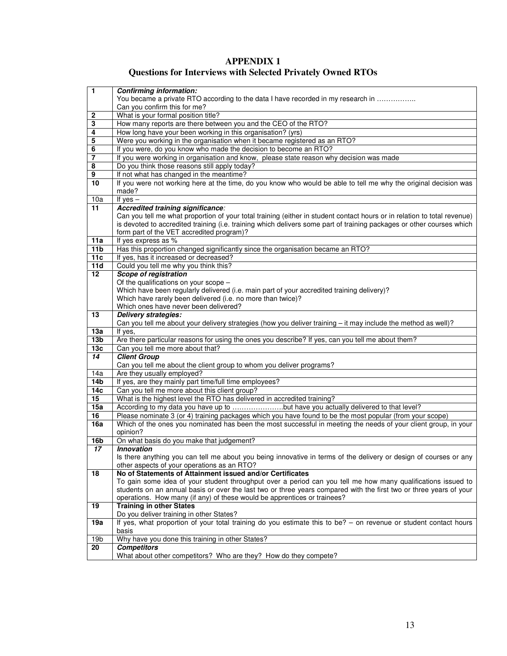| <b>APPENDIX 1</b>                                                  |
|--------------------------------------------------------------------|
| <b>Questions for Interviews with Selected Privately Owned RTOs</b> |

| $\mathbf{1}$           | <b>Confirming information:</b>                                                                                           |
|------------------------|--------------------------------------------------------------------------------------------------------------------------|
|                        | You became a private RTO according to the data I have recorded in my research in                                         |
|                        | Can you confirm this for me?                                                                                             |
| 2                      | What is your formal position title?                                                                                      |
| 3                      | How many reports are there between you and the CEO of the RTO?                                                           |
| 4                      | How long have your been working in this organisation? (yrs)                                                              |
| 5                      | Were you working in the organisation when it became registered as an RTO?                                                |
| 6                      | If you were, do you know who made the decision to become an RTO?                                                         |
| $\overline{7}$         | If you were working in organisation and know, please state reason why decision was made                                  |
| 8                      | Do you think those reasons still apply today?                                                                            |
| 9                      | If not what has changed in the meantime?                                                                                 |
| $\overline{10}$        | If you were not working here at the time, do you know who would be able to tell me why the original decision was         |
|                        | made?                                                                                                                    |
| 10a                    | If yes $-$                                                                                                               |
| 11                     | Accredited training significance:                                                                                        |
|                        | Can you tell me what proportion of your total training (either in student contact hours or in relation to total revenue) |
|                        | is devoted to accredited training (i.e. training which delivers some part of training packages or other courses which    |
|                        | form part of the VET accredited program)?                                                                                |
| 11a                    | If yes express as %                                                                                                      |
| 11 <sub>b</sub>        | Has this proportion changed significantly since the organisation became an RTO?                                          |
| 11c                    | If yes, has it increased or decreased?                                                                                   |
| 11d                    | Could you tell me why you think this?                                                                                    |
| 12                     | <b>Scope of registration</b>                                                                                             |
|                        | Of the qualifications on your scope -                                                                                    |
|                        | Which have been regularly delivered (i.e. main part of your accredited training delivery)?                               |
|                        | Which have rarely been delivered (i.e. no more than twice)?                                                              |
|                        | Which ones have never been delivered?                                                                                    |
| 13                     | Delivery strategies:                                                                                                     |
|                        | Can you tell me about your delivery strategies (how you deliver training - it may include the method as well)?           |
| 13a<br>13 <sub>b</sub> | If yes,<br>Are there particular reasons for using the ones you describe? If yes, can you tell me about them?             |
| 13 <sub>c</sub>        | Can you tell me more about that?                                                                                         |
| 14                     | <b>Client Group</b>                                                                                                      |
|                        | Can you tell me about the client group to whom you deliver programs?                                                     |
| 14a                    | Are they usually employed?                                                                                               |
| 14b                    | If yes, are they mainly part time/full time employees?                                                                   |
| 14c                    | Can you tell me more about this client group?                                                                            |
| 15                     | What is the highest level the RTO has delivered in accredited training?                                                  |
| 15a                    | According to my data you have up to but have you actually delivered to that level?                                       |
| 16                     | Please nominate 3 (or 4) training packages which you have found to be the most popular (from your scope)                 |
| 16a                    | Which of the ones you nominated has been the most successful in meeting the needs of your client group, in your          |
|                        | opinion?                                                                                                                 |
| 16b                    | On what basis do you make that judgement?                                                                                |
| 17                     | <b>Innovation</b>                                                                                                        |
|                        | Is there anything you can tell me about you being innovative in terms of the delivery or design of courses or any        |
|                        | other aspects of your operations as an RTO?                                                                              |
| 18                     | No of Statements of Attainment issued and/or Certificates                                                                |
|                        | To gain some idea of your student throughput over a period can you tell me how many qualifications issued to             |
|                        | students on an annual basis or over the last two or three years compared with the first two or three years of your       |
|                        | operations. How many (if any) of these would be apprentices or trainees?                                                 |
| 19                     | <b>Training in other States</b>                                                                                          |
|                        | Do you deliver training in other States?                                                                                 |
| 19a                    | If yes, what proportion of your total training do you estimate this to be? - on revenue or student contact hours         |
|                        | basis                                                                                                                    |
| 19 <sub>b</sub>        | Why have you done this training in other States?                                                                         |
| 20                     | <b>Competitors</b>                                                                                                       |
|                        | What about other competitors? Who are they? How do they compete?                                                         |